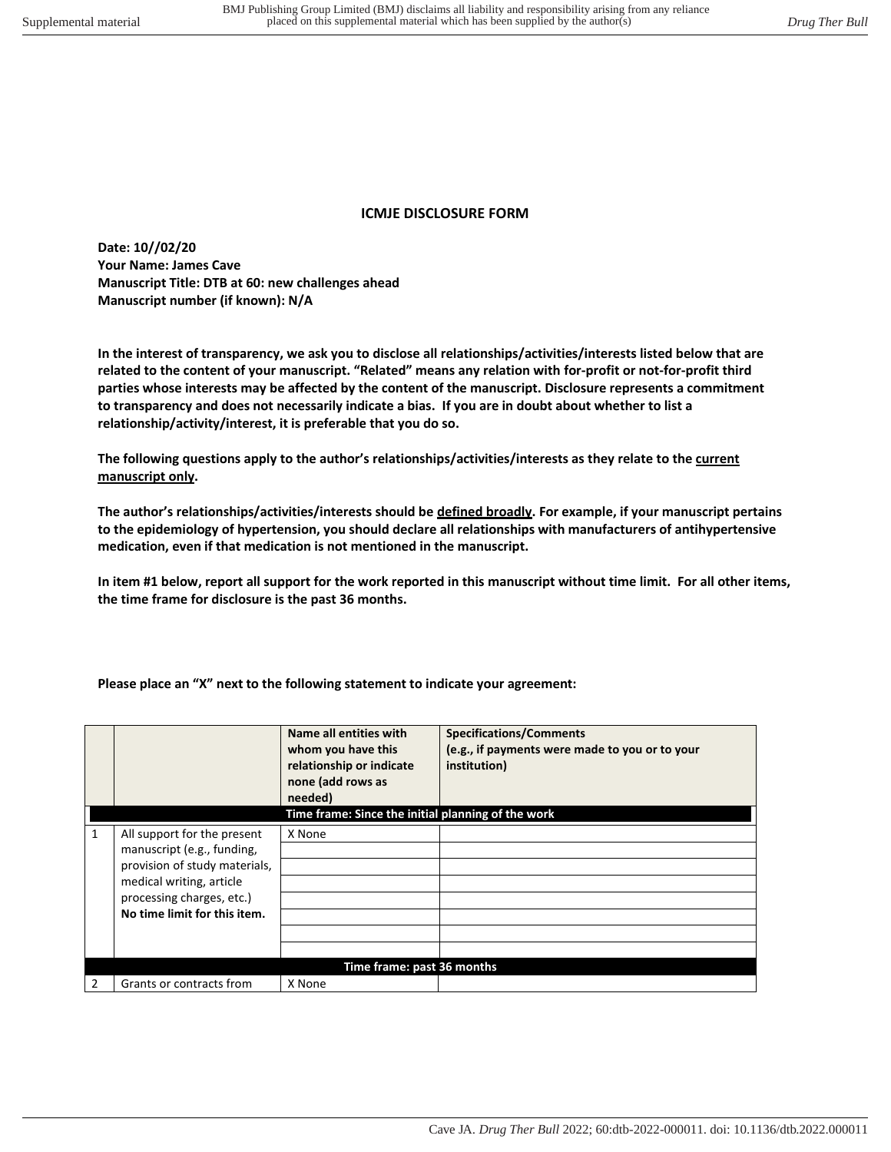## **ICMJE DISCLOSURE FORM**

**Date: 10//02/20 Your Name: James Cave Manuscript Title: DTB at 60: new challenges ahead Manuscript number (if known): N/A** 

**In the interest of transparency, we ask you to disclose all relationships/activities/interests listed below that are related to the content of your manuscript. "Related" means any relation with for-profit or not-for-profit third parties whose interests may be affected by the content of the manuscript. Disclosure represents a commitment to transparency and does not necessarily indicate a bias. If you are in doubt about whether to list a relationship/activity/interest, it is preferable that you do so.** 

**The following questions apply to the author's relationships/activities/interests as they relate to the current manuscript only.** 

**The author's relationships/activities/interests should be defined broadly. For example, if your manuscript pertains to the epidemiology of hypertension, you should declare all relationships with manufacturers of antihypertensive medication, even if that medication is not mentioned in the manuscript.** 

**In item #1 below, report all support for the work reported in this manuscript without time limit. For all other items, the time frame for disclosure is the past 36 months.** 

**Please place an "X" next to the following statement to indicate your agreement:**

|   |                                                           | Name all entities with   | <b>Specifications/Comments</b>                 |  |  |
|---|-----------------------------------------------------------|--------------------------|------------------------------------------------|--|--|
|   |                                                           | whom you have this       | (e.g., if payments were made to you or to your |  |  |
|   |                                                           | relationship or indicate | institution)                                   |  |  |
|   |                                                           | none (add rows as        |                                                |  |  |
|   |                                                           |                          |                                                |  |  |
|   |                                                           | needed)                  |                                                |  |  |
|   | Time frame: Since the initial planning of the work        |                          |                                                |  |  |
| 1 | All support for the present                               | X None                   |                                                |  |  |
|   | manuscript (e.g., funding,                                |                          |                                                |  |  |
|   | provision of study materials,                             |                          |                                                |  |  |
|   | medical writing, article                                  |                          |                                                |  |  |
|   | processing charges, etc.)<br>No time limit for this item. |                          |                                                |  |  |
|   |                                                           |                          |                                                |  |  |
|   |                                                           |                          |                                                |  |  |
|   |                                                           |                          |                                                |  |  |
|   | Time frame: past 36 months                                |                          |                                                |  |  |
| 2 | Grants or contracts from                                  | X None                   |                                                |  |  |